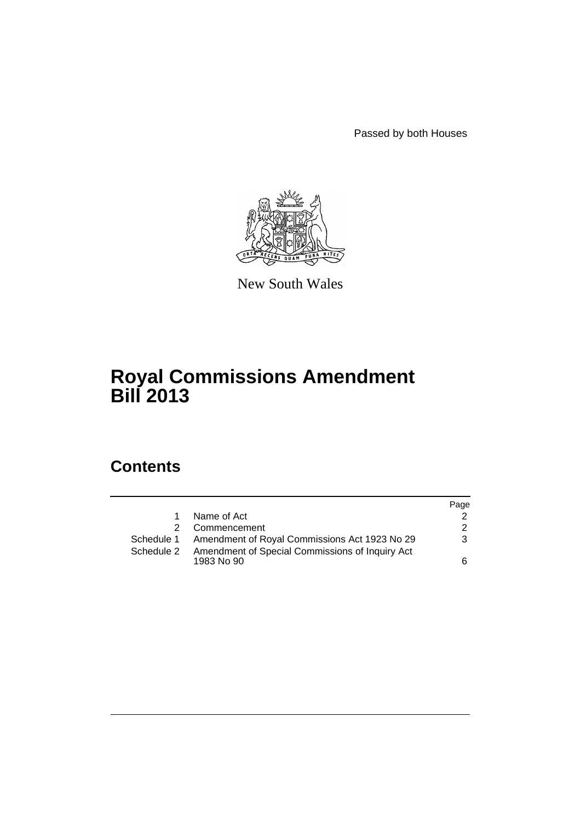Passed by both Houses



New South Wales

## **Royal Commissions Amendment Bill 2013**

## **Contents**

|            |                                                               | Page          |
|------------|---------------------------------------------------------------|---------------|
|            | Name of Act                                                   |               |
|            | Commencement                                                  | $\mathcal{P}$ |
| Schedule 1 | Amendment of Royal Commissions Act 1923 No 29                 | 3             |
| Schedule 2 | Amendment of Special Commissions of Inquiry Act<br>1983 No 90 | 6.            |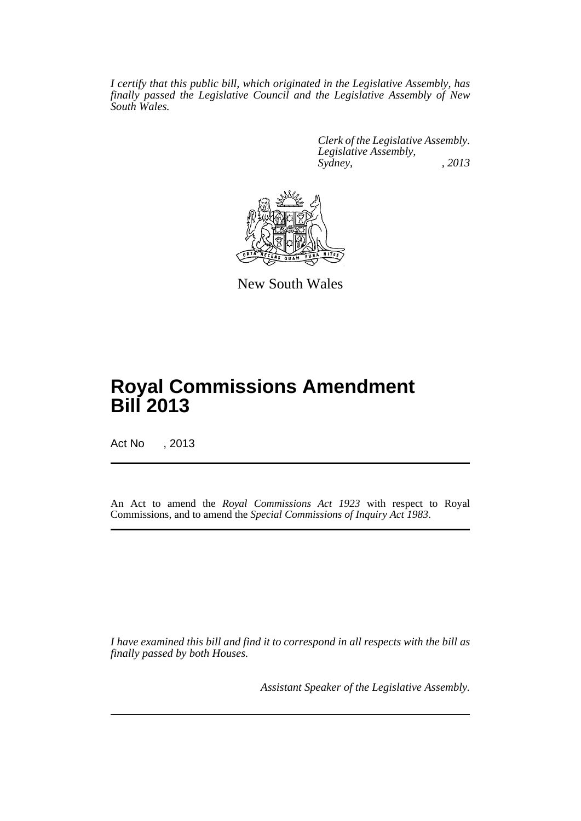*I certify that this public bill, which originated in the Legislative Assembly, has finally passed the Legislative Council and the Legislative Assembly of New South Wales.*

> *Clerk of the Legislative Assembly. Legislative Assembly, Sydney, , 2013*



New South Wales

# **Royal Commissions Amendment Bill 2013**

Act No , 2013

An Act to amend the *Royal Commissions Act 1923* with respect to Royal Commissions, and to amend the *Special Commissions of Inquiry Act 1983*.

*I have examined this bill and find it to correspond in all respects with the bill as finally passed by both Houses.*

*Assistant Speaker of the Legislative Assembly.*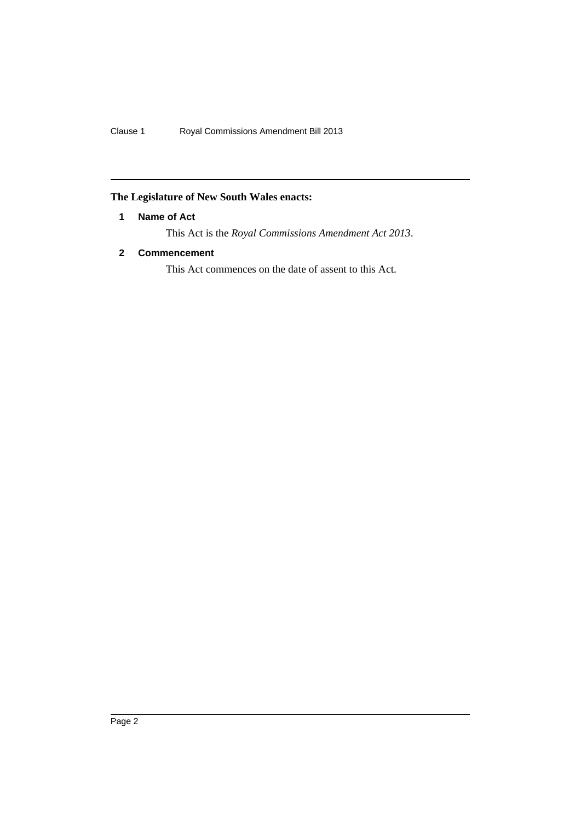### <span id="page-3-0"></span>**The Legislature of New South Wales enacts:**

#### **1 Name of Act**

This Act is the *Royal Commissions Amendment Act 2013*.

#### <span id="page-3-1"></span>**2 Commencement**

This Act commences on the date of assent to this Act.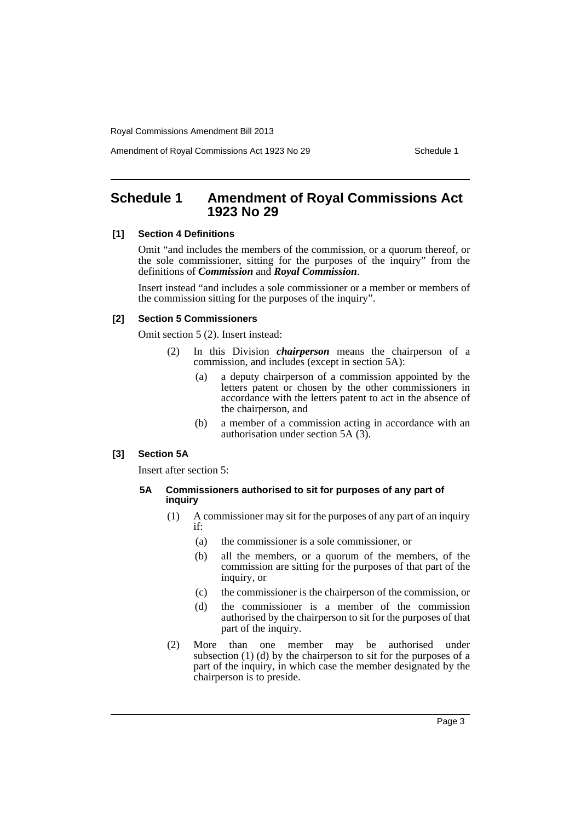Amendment of Royal Commissions Act 1923 No 29 Schedule 1

## <span id="page-4-0"></span>**Schedule 1 Amendment of Royal Commissions Act 1923 No 29**

#### **[1] Section 4 Definitions**

Omit "and includes the members of the commission, or a quorum thereof, or the sole commissioner, sitting for the purposes of the inquiry" from the definitions of *Commission* and *Royal Commission*.

Insert instead "and includes a sole commissioner or a member or members of the commission sitting for the purposes of the inquiry".

#### **[2] Section 5 Commissioners**

Omit section 5 (2). Insert instead:

- (2) In this Division *chairperson* means the chairperson of a commission, and includes (except in section 5A):
	- (a) a deputy chairperson of a commission appointed by the letters patent or chosen by the other commissioners in accordance with the letters patent to act in the absence of the chairperson, and
	- (b) a member of a commission acting in accordance with an authorisation under section 5A (3).

#### **[3] Section 5A**

Insert after section 5:

#### **5A Commissioners authorised to sit for purposes of any part of inquiry**

- (1) A commissioner may sit for the purposes of any part of an inquiry if:
	- (a) the commissioner is a sole commissioner, or
	- (b) all the members, or a quorum of the members, of the commission are sitting for the purposes of that part of the inquiry, or
	- (c) the commissioner is the chairperson of the commission, or
	- (d) the commissioner is a member of the commission authorised by the chairperson to sit for the purposes of that part of the inquiry.
- (2) More than one member may be authorised under subsection (1) (d) by the chairperson to sit for the purposes of a part of the inquiry, in which case the member designated by the chairperson is to preside.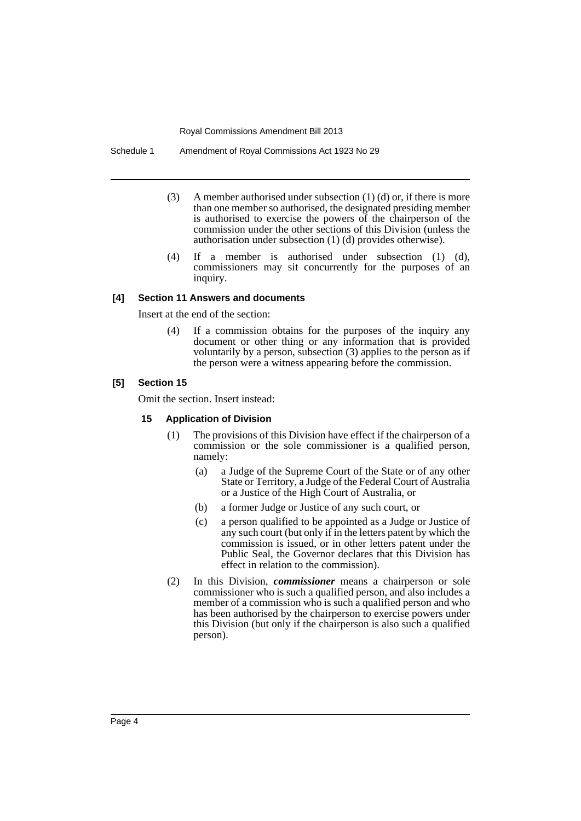Schedule 1 Amendment of Royal Commissions Act 1923 No 29

- (3) A member authorised under subsection (1) (d) or, if there is more than one member so authorised, the designated presiding member is authorised to exercise the powers of the chairperson of the commission under the other sections of this Division (unless the authorisation under subsection (1) (d) provides otherwise).
- (4) If a member is authorised under subsection (1) (d), commissioners may sit concurrently for the purposes of an inquiry.

#### **[4] Section 11 Answers and documents**

Insert at the end of the section:

(4) If a commission obtains for the purposes of the inquiry any document or other thing or any information that is provided voluntarily by a person, subsection (3) applies to the person as if the person were a witness appearing before the commission.

#### **[5] Section 15**

Omit the section. Insert instead:

#### **15 Application of Division**

- (1) The provisions of this Division have effect if the chairperson of a commission or the sole commissioner is a qualified person, namely:
	- (a) a Judge of the Supreme Court of the State or of any other State or Territory, a Judge of the Federal Court of Australia or a Justice of the High Court of Australia, or
	- (b) a former Judge or Justice of any such court, or
	- (c) a person qualified to be appointed as a Judge or Justice of any such court (but only if in the letters patent by which the commission is issued, or in other letters patent under the Public Seal, the Governor declares that this Division has effect in relation to the commission).
- (2) In this Division, *commissioner* means a chairperson or sole commissioner who is such a qualified person, and also includes a member of a commission who is such a qualified person and who has been authorised by the chairperson to exercise powers under this Division (but only if the chairperson is also such a qualified person).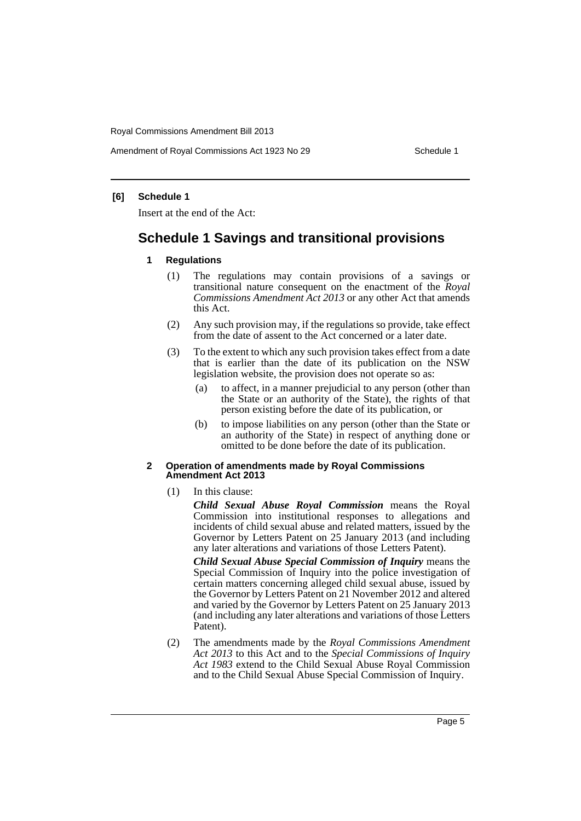Amendment of Royal Commissions Act 1923 No 29 Schedule 1

#### **[6] Schedule 1**

Insert at the end of the Act:

## **Schedule 1 Savings and transitional provisions**

- **1 Regulations**
	- (1) The regulations may contain provisions of a savings or transitional nature consequent on the enactment of the *Royal Commissions Amendment Act 2013* or any other Act that amends this Act.
	- (2) Any such provision may, if the regulations so provide, take effect from the date of assent to the Act concerned or a later date.
	- (3) To the extent to which any such provision takes effect from a date that is earlier than the date of its publication on the NSW legislation website, the provision does not operate so as:
		- (a) to affect, in a manner prejudicial to any person (other than the State or an authority of the State), the rights of that person existing before the date of its publication, or
		- (b) to impose liabilities on any person (other than the State or an authority of the State) in respect of anything done or omitted to be done before the date of its publication.

#### **2 Operation of amendments made by Royal Commissions Amendment Act 2013**

(1) In this clause:

*Child Sexual Abuse Royal Commission* means the Royal Commission into institutional responses to allegations and incidents of child sexual abuse and related matters, issued by the Governor by Letters Patent on 25 January 2013 (and including any later alterations and variations of those Letters Patent).

*Child Sexual Abuse Special Commission of Inquiry* means the Special Commission of Inquiry into the police investigation of certain matters concerning alleged child sexual abuse, issued by the Governor by Letters Patent on 21 November 2012 and altered and varied by the Governor by Letters Patent on 25 January 2013 (and including any later alterations and variations of those Letters Patent).

(2) The amendments made by the *Royal Commissions Amendment Act 2013* to this Act and to the *Special Commissions of Inquiry Act 1983* extend to the Child Sexual Abuse Royal Commission and to the Child Sexual Abuse Special Commission of Inquiry.